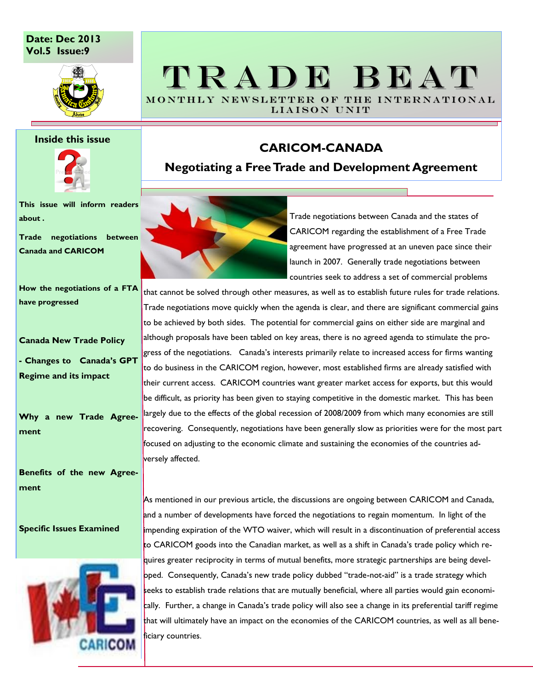### **Date: Dec 2013 Vol.5 Issue:9**



### **Inside this issue**



**This issue will inform readers about .**

**Trade negotiations between Canada and CARICOM**

**How the negotiations of a FTA have progressed**

**Canada New Trade Policy**

**- Changes to Canada's GPT Regime and its impact**

**Why a new Trade Agreement**

**Benefits of the new Agreement**

### **Specific Issues Examined**



## TRADE BEAT MONTHLY NEWSLETTER OF THE INTERNATIONAL

LIAISON UNIT

## **CARICOM-CANADA**

**Negotiating a Free Trade and Development Agreement**



Trade negotiations between Canada and the states of CARICOM regarding the establishment of a Free Trade agreement have progressed at an uneven pace since their launch in 2007. Generally trade negotiations between countries seek to address a set of commercial problems

that cannot be solved through other measures, as well as to establish future rules for trade relations. Trade negotiations move quickly when the agenda is clear, and there are significant commercial gains to be achieved by both sides. The potential for commercial gains on either side are marginal and although proposals have been tabled on key areas, there is no agreed agenda to stimulate the progress of the negotiations. Canada's interests primarily relate to increased access for firms wanting to do business in the CARICOM region, however, most established firms are already satisfied with their current access. CARICOM countries want greater market access for exports, but this would be difficult, as priority has been given to staying competitive in the domestic market. This has been largely due to the effects of the global recession of 2008/2009 from which many economies are still recovering. Consequently, negotiations have been generally slow as priorities were for the most part focused on adjusting to the economic climate and sustaining the economies of the countries adversely affected.

As mentioned in our previous article, the discussions are ongoing between CARICOM and Canada, and a number of developments have forced the negotiations to regain momentum. In light of the impending expiration of the WTO waiver, which will result in a discontinuation of preferential access to CARICOM goods into the Canadian market, as well as a shift in Canada's trade policy which requires greater reciprocity in terms of mutual benefits, more strategic partnerships are being developed. Consequently, Canada's new trade policy dubbed "trade-not-aid" is a trade strategy which seeks to establish trade relations that are mutually beneficial, where all parties would gain economically. Further, a change in Canada's trade policy will also see a change in its preferential tariff regime that will ultimately have an impact on the economies of the CARICOM countries, as well as all beneficiary countries.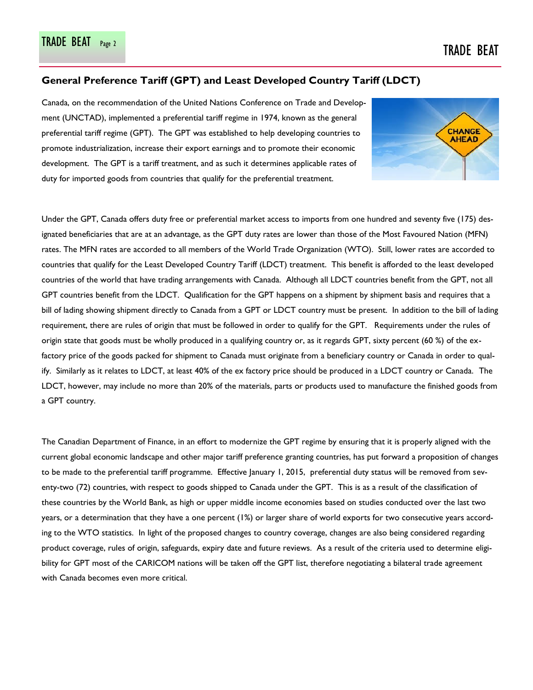### **General Preference Tariff (GPT) and Least Developed Country Tariff (LDCT)**

Canada, on the recommendation of the United Nations Conference on Trade and Development (UNCTAD), implemented a preferential tariff regime in 1974, known as the general preferential tariff regime (GPT). The GPT was established to help developing countries to promote industrialization, increase their export earnings and to promote their economic development. The GPT is a tariff treatment, and as such it determines applicable rates of duty for imported goods from countries that qualify for the preferential treatment.



Under the GPT, Canada offers duty free or preferential market access to imports from one hundred and seventy five (175) designated beneficiaries that are at an advantage, as the GPT duty rates are lower than those of the Most Favoured Nation (MFN) rates. The MFN rates are accorded to all members of the World Trade Organization (WTO). Still, lower rates are accorded to countries that qualify for the Least Developed Country Tariff (LDCT) treatment. This benefit is afforded to the least developed countries of the world that have trading arrangements with Canada. Although all LDCT countries benefit from the GPT, not all GPT countries benefit from the LDCT. Qualification for the GPT happens on a shipment by shipment basis and requires that a bill of lading showing shipment directly to Canada from a GPT or LDCT country must be present. In addition to the bill of lading requirement, there are rules of origin that must be followed in order to qualify for the GPT. Requirements under the rules of origin state that goods must be wholly produced in a qualifying country or, as it regards GPT, sixty percent (60 %) of the exfactory price of the goods packed for shipment to Canada must originate from a beneficiary country or Canada in order to qualify. Similarly as it relates to LDCT, at least 40% of the ex factory price should be produced in a LDCT country or Canada. The LDCT, however, may include no more than 20% of the materials, parts or products used to manufacture the finished goods from a GPT country.

The Canadian Department of Finance, in an effort to modernize the GPT regime by ensuring that it is properly aligned with the current global economic landscape and other major tariff preference granting countries, has put forward a proposition of changes to be made to the preferential tariff programme. Effective January 1, 2015, preferential duty status will be removed from seventy-two (72) countries, with respect to goods shipped to Canada under the GPT. This is as a result of the classification of these countries by the World Bank, as high or upper middle income economies based on studies conducted over the last two years, or a determination that they have a one percent (1%) or larger share of world exports for two consecutive years according to the WTO statistics. In light of the proposed changes to country coverage, changes are also being considered regarding product coverage, rules of origin, safeguards, expiry date and future reviews. As a result of the criteria used to determine eligibility for GPT most of the CARICOM nations will be taken off the GPT list, therefore negotiating a bilateral trade agreement with Canada becomes even more critical.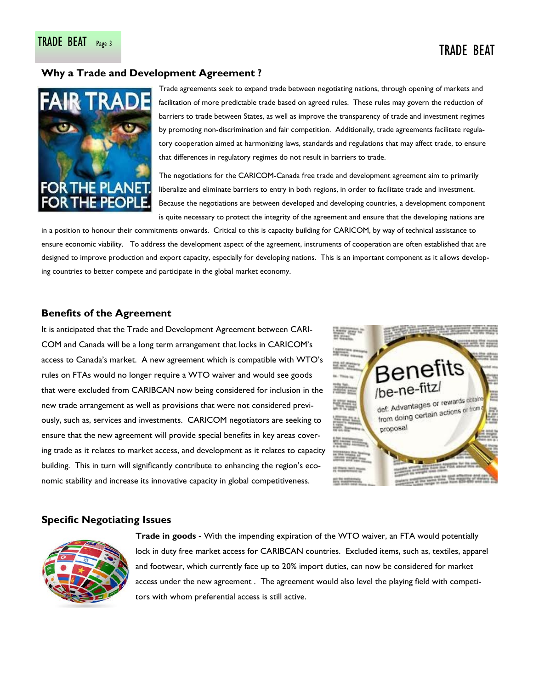# TRADE BEAT Page 3 TRADE BEAT

### **Why a Trade and Development Agreement ?**



Trade agreements seek to expand trade between negotiating nations, through opening of markets and facilitation of more predictable trade based on agreed rules. These rules may govern the reduction of barriers to trade between States, as well as improve the transparency of trade and investment regimes by promoting non-discrimination and fair competition. Additionally, trade agreements facilitate regulatory cooperation aimed at harmonizing laws, standards and regulations that may affect trade, to ensure that differences in regulatory regimes do not result in barriers to trade.

The negotiations for the CARICOM-Canada free trade and development agreement aim to primarily liberalize and eliminate barriers to entry in both regions, in order to facilitate trade and investment. Because the negotiations are between developed and developing countries, a development component is quite necessary to protect the integrity of the agreement and ensure that the developing nations are

in a position to honour their commitments onwards. Critical to this is capacity building for CARICOM, by way of technical assistance to ensure economic viability. To address the development aspect of the agreement, instruments of cooperation are often established that are designed to improve production and export capacity, especially for developing nations. This is an important component as it allows developing countries to better compete and participate in the global market economy.

### **Benefits of the Agreement**

It is anticipated that the Trade and Development Agreement between CARI-COM and Canada will be a long term arrangement that locks in CARICOM's access to Canada's market. A new agreement which is compatible with WTO's rules on FTAs would no longer require a WTO waiver and would see goods that were excluded from CARIBCAN now being considered for inclusion in the new trade arrangement as well as provisions that were not considered previously, such as, services and investments. CARICOM negotiators are seeking to ensure that the new agreement will provide special benefits in key areas covering trade as it relates to market access, and development as it relates to capacity building. This in turn will significantly contribute to enhancing the region's economic stability and increase its innovative capacity in global competitiveness.



### **Specific Negotiating Issues**



**Trade in goods -** With the impending expiration of the WTO waiver, an FTA would potentially lock in duty free market access for CARIBCAN countries. Excluded items, such as, textiles, apparel and footwear, which currently face up to 20% import duties, can now be considered for market access under the new agreement . The agreement would also level the playing field with competitors with whom preferential access is still active.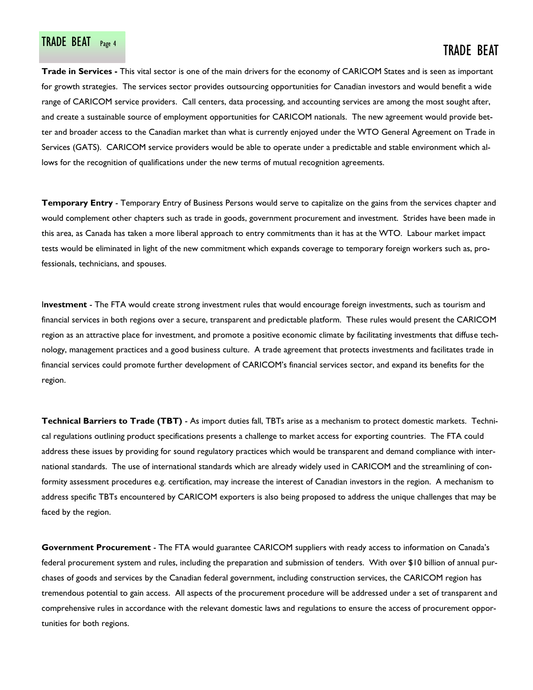# TRADE BEAT Page 4 TRADE BEAT PAGE 4 TRADE BEAT

**Trade in Services -** This vital sector is one of the main drivers for the economy of CARICOM States and is seen as important for growth strategies. The services sector provides outsourcing opportunities for Canadian investors and would benefit a wide range of CARICOM service providers. Call centers, data processing, and accounting services are among the most sought after, and create a sustainable source of employment opportunities for CARICOM nationals. The new agreement would provide better and broader access to the Canadian market than what is currently enjoyed under the WTO General Agreement on Trade in Services (GATS). CARICOM service providers would be able to operate under a predictable and stable environment which allows for the recognition of qualifications under the new terms of mutual recognition agreements.

**Temporary Entry** - Temporary Entry of Business Persons would serve to capitalize on the gains from the services chapter and would complement other chapters such as trade in goods, government procurement and investment. Strides have been made in this area, as Canada has taken a more liberal approach to entry commitments than it has at the WTO. Labour market impact tests would be eliminated in light of the new commitment which expands coverage to temporary foreign workers such as, professionals, technicians, and spouses.

I**nvestment** - The FTA would create strong investment rules that would encourage foreign investments, such as tourism and financial services in both regions over a secure, transparent and predictable platform. These rules would present the CARICOM region as an attractive place for investment, and promote a positive economic climate by facilitating investments that diffuse technology, management practices and a good business culture. A trade agreement that protects investments and facilitates trade in financial services could promote further development of CARICOM's financial services sector, and expand its benefits for the region.

**Technical Barriers to Trade (TBT)** - As import duties fall, TBTs arise as a mechanism to protect domestic markets. Technical regulations outlining product specifications presents a challenge to market access for exporting countries. The FTA could address these issues by providing for sound regulatory practices which would be transparent and demand compliance with international standards. The use of international standards which are already widely used in CARICOM and the streamlining of conformity assessment procedures e.g. certification, may increase the interest of Canadian investors in the region. A mechanism to address specific TBTs encountered by CARICOM exporters is also being proposed to address the unique challenges that may be faced by the region.

**Government Procurement** - The FTA would guarantee CARICOM suppliers with ready access to information on Canada's federal procurement system and rules, including the preparation and submission of tenders. With over \$10 billion of annual purchases of goods and services by the Canadian federal government, including construction services, the CARICOM region has tremendous potential to gain access. All aspects of the procurement procedure will be addressed under a set of transparent and comprehensive rules in accordance with the relevant domestic laws and regulations to ensure the access of procurement opportunities for both regions.